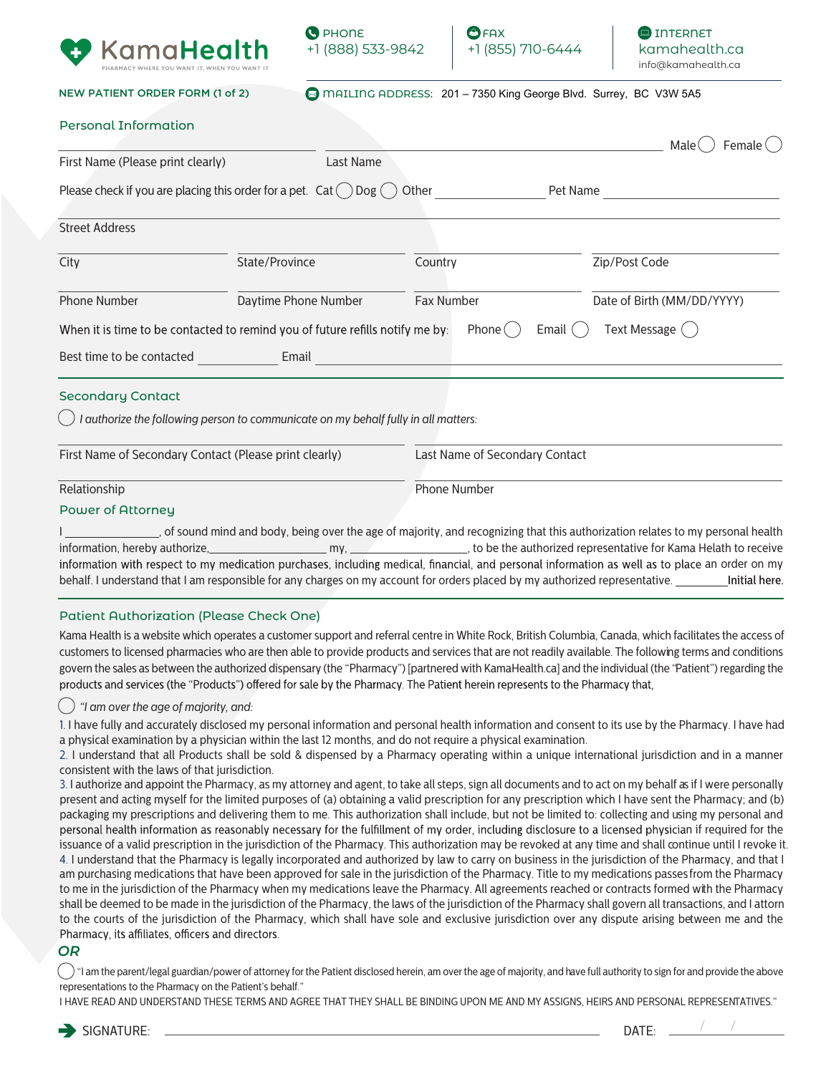





NEW PATIENT ORDER FORM (1 of 2)

mAILING ADDRESS: 201 – 7350 King George Blvd. Surrey, BC V3W 5A5

| <b>Personal Information</b> |  |  |  |
|-----------------------------|--|--|--|
|-----------------------------|--|--|--|

|                                                        |                                                                                    |                                | Male<br>Female <sup>(</sup> |
|--------------------------------------------------------|------------------------------------------------------------------------------------|--------------------------------|-----------------------------|
| First Name (Please print clearly)                      | Last Name                                                                          |                                |                             |
|                                                        | Please check if you are placing this order for a pet. $Cat( )Dog ($                | Other                          | Pet Name                    |
| <b>Street Address</b>                                  |                                                                                    |                                |                             |
| City                                                   | State/Province                                                                     | Country                        | Zip/Post Code               |
| <b>Phone Number</b>                                    | Daytime Phone Number                                                               | Fax Number                     | Date of Birth (MM/DD/YYYY)  |
|                                                        | When it is time to be contacted to remind you of future refills notify me by:      | Phone (                        | Text Message (<br>Email     |
| Best time to be contacted                              | Email                                                                              |                                |                             |
| <b>Secondary Contact</b>                               |                                                                                    |                                |                             |
|                                                        | I authorize the following person to communicate on my behalf fully in all matters: |                                |                             |
| First Name of Secondary Contact (Please print clearly) |                                                                                    | Last Name of Secondary Contact |                             |
| Relationship                                           |                                                                                    | Phone Number                   |                             |
| Power of Attorney                                      |                                                                                    |                                |                             |

I <sub>call</sub> of sound mind and body, being over the age of majority, and recognizing that this authorization relates to my personal health information, hereby authorize, 1980 and the my, 1990 my, 1990 and the authorized representative for Kama Helath to receive information with respect to my medication purchases, including medical, financial, and personal information as well as to place an order on my behalf. I understand that I am responsible for any charges on my account for orders placed by my authorized representative.

### Patient Authorization (Please Check One)

Kama Health is a website which operates a customer support and referral centre in White Rock, British Columbia, Canada, which facilitates the access of customers to licensed pharmacies who are then able to provide products and services that are not readily available. The following terms and conditions govern the sales as between the authorized dispensary (the "Pharmacy") [partnered with KamaHealth.ca] and the individual (the "Patient") regarding the products and services (the "Products") offered for sale by the Pharmacy. The Patient herein represents to the Pharmacy that,

### *"I am over the age of majority, and:*

1. I have fully and accurately disclosed my personal information and personal health information and consent to its use by the Pharmacy. I have had a physical examination by a physician within the last 12 months, and do not require a physical examination.

2. I understand that all Products shall be sold & dispensed by a Pharmacy operating within a unique international jurisdiction and in a manner consistent with the laws of that jurisdiction.

3. I authorize and appoint the Pharmacy, as my attorney and agent, to take all steps, sign all documents and to act on my behalf as if I were personally present and acting myself for the limited purposes of (a) obtaining a valid prescription for any prescription which I have sent the Pharmacy; and (b) packaging my prescriptions and delivering them to me. This authorization shall include, but not be limited to: collecting and using my personal and personal health information as reasonably necessary for the fulfillment of my order, including disclosure to a licensed physician if required for the issuance of a valid prescription in the jurisdiction of the Pharmacy. This authorization may be revoked at any time and shall continue until I revoke it. 4. I understand that the Pharmacy is legally incorporated and authorized by law to carry on business in the jurisdiction of the Pharmacy, and that I am purchasing medications that have been approved for sale in the jurisdiction of the Pharmacy. Title to my medications passes from the Pharmacy to me in the jurisdiction of the Pharmacy when my medications leave the Pharmacy. All agreements reached or contracts formed with the Pharmacy shall be deemed to be made in the jurisdiction of the Pharmacy, the laws of the jurisdiction of the Pharmacy shall govern all transactions, and I attorn to the courts of the jurisdiction of the Pharmacy, which shall have sole and exclusive jurisdiction over any dispute arising between me and the Pharmacy, its affiliates, officers and directors.

# *OR*

 "I am the parent/legal guardian/power of attorney for the Patient disclosed herein, am over the age of majority, and have full authority to sign for and provide the above representations to the Pharmacy on the Patient's behalf."

I HAVE READ AND UNDERSTAND THESE TERMS AND AGREE THAT THEY SHALL BE BINDING UPON ME AND MY ASSIGNS, HEIRS AND PERSONAL REPRESENTATIVES."

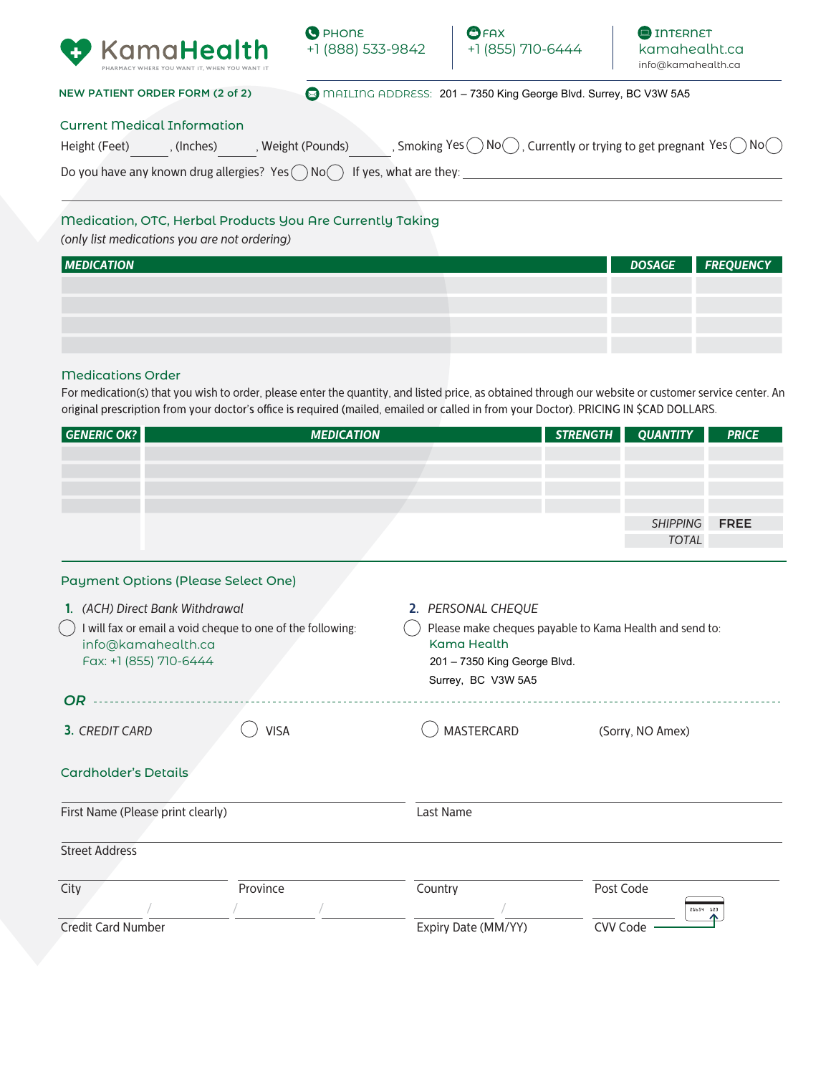





NEW PATIENT ORDER FORM (2 of 2)

MAILING ADDRESS: 201 - 7350 King George Blvd. Surrey, BC V3W 5A5

### Current Medical Information

| Height (Feet) | (Inches) | , Weight (Pounds)                                                                       | , Smoking Yes $\bigcirc$ No $\bigcirc$ , Currently or trying to get pregnant Yes $\bigcirc$ No $\bigcirc$ |
|---------------|----------|-----------------------------------------------------------------------------------------|-----------------------------------------------------------------------------------------------------------|
|               |          | Do you have any known drug allergies? Yes $\bigcap$ No $\bigcap$ If yes, what are they: |                                                                                                           |

# Medication, OTC, Herbal Products You Are Currently Taking

*(only list medications you are not ordering)*

| <b>MEDICATION</b> |  | DOSAGE <b>FREQUENCY</b> |
|-------------------|--|-------------------------|
|                   |  |                         |
|                   |  |                         |
|                   |  |                         |
|                   |  |                         |

### Medications Order

For medication(s) that you wish to order, please enter the quantity, and listed price, as obtained through our website or customer service center. An original prescription from your doctor's office is required (mailed, emailed or called in from your Doctor). PRICING IN \$CAD DOLLARS.

| GENERIC OK?                     | <b>MEDICATION</b>                                          |                                                         | STRENGTH | <b>QUANTITY</b> | <b>PRICE</b> |
|---------------------------------|------------------------------------------------------------|---------------------------------------------------------|----------|-----------------|--------------|
|                                 |                                                            |                                                         |          |                 |              |
|                                 |                                                            |                                                         |          |                 |              |
|                                 |                                                            |                                                         |          |                 |              |
|                                 |                                                            |                                                         |          |                 |              |
|                                 |                                                            |                                                         |          | <b>SHIPPING</b> | <b>FREE</b>  |
|                                 |                                                            |                                                         |          | <b>TOTAL</b>    |              |
|                                 |                                                            |                                                         |          |                 |              |
|                                 | Payment Options (Please Select One)                        |                                                         |          |                 |              |
| 1. (ACH) Direct Bank Withdrawal |                                                            | 2. PERSONAL CHEQUE                                      |          |                 |              |
|                                 | I will fax or email a void cheque to one of the following: | Please make cheques payable to Kama Health and send to: |          |                 |              |

| l will fax or email a void cheque to one of the following:<br>info@kamahealth.ca<br>Fax: +1 (855) 710-6444 |             | Please make cheques payable to Kama Health and send to:<br><b>Kama Health</b><br>201 - 7350 King George Blvd.<br>Surrey, BC V3W 5A5 |                        |  |  |
|------------------------------------------------------------------------------------------------------------|-------------|-------------------------------------------------------------------------------------------------------------------------------------|------------------------|--|--|
| OR.                                                                                                        |             |                                                                                                                                     |                        |  |  |
| 3. CREDIT CARD                                                                                             | <b>VISA</b> | MASTERCARD                                                                                                                          | (Sorry, NO Amex)       |  |  |
| <b>Cardholder's Details</b>                                                                                |             |                                                                                                                                     |                        |  |  |
| First Name (Please print clearly)                                                                          |             | Last Name                                                                                                                           |                        |  |  |
| <b>Street Address</b>                                                                                      |             |                                                                                                                                     |                        |  |  |
| City                                                                                                       | Province    | Country                                                                                                                             | Post Code<br>21654 123 |  |  |
| <b>Credit Card Number</b>                                                                                  |             | Expiry Date (MM/YY)                                                                                                                 | CVV Code               |  |  |